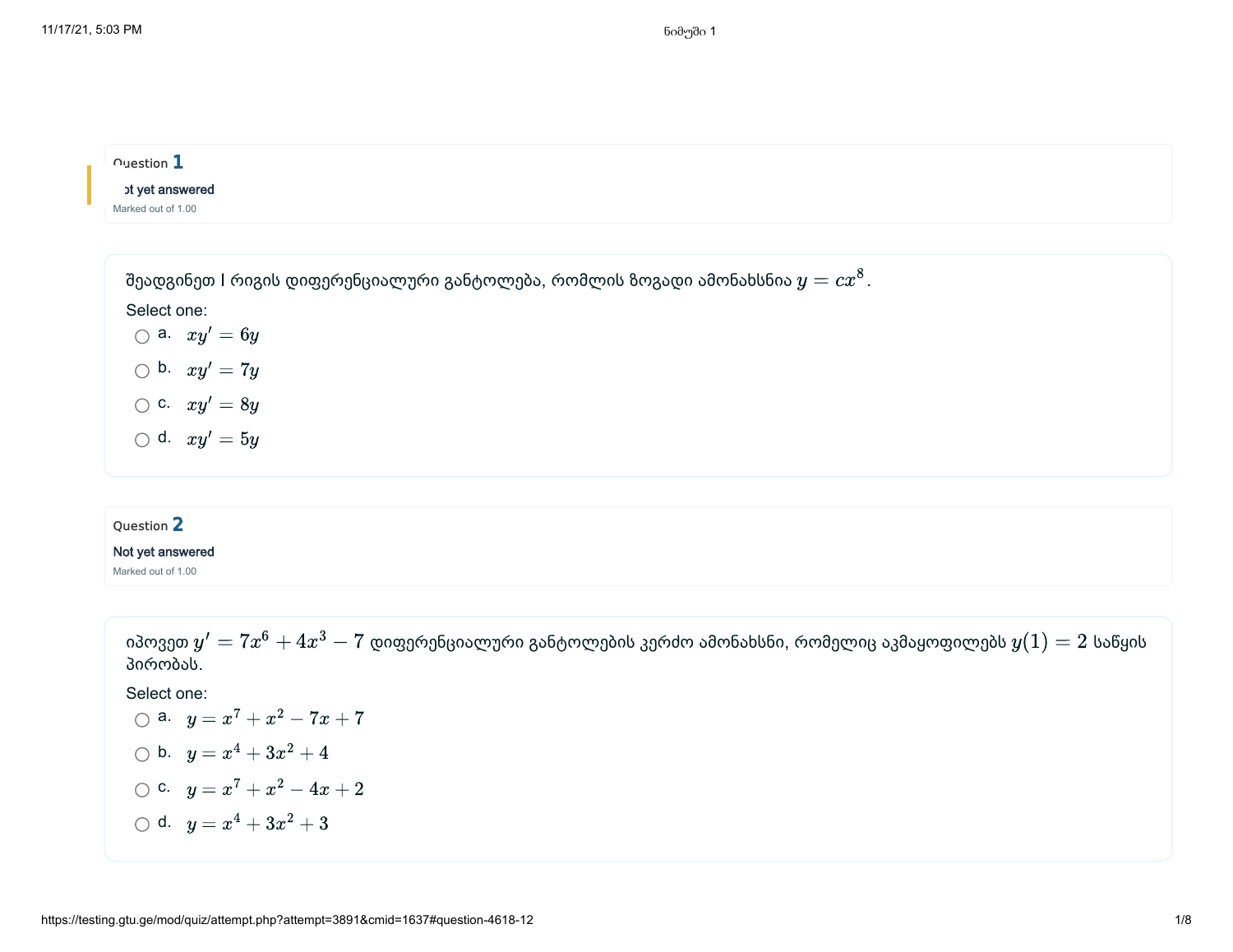### $\sim$ uestion  $1$

### ot yet answered

Marked out of 1.00

შეადგინეთ l რიგის დიფერენციალური განტოლება, რომლის ზოგადი ამონახსნია  $y=c x^8$ . Select one: a.  $xy' = 6y$ b.  $xy' = 7y$ c.  $xy' = 8y$ d.  $xy' = 5y$ 

## Question 2

#### Not yet answered

Marked out of 1.00

იპოვეთ  $y'=7x^6+4x^3-7$  დიფერენციალური განტოლების კერძო ამონახსნი, რომელიც აკმაყოფილებს  $y(1)=2$  საწყის პირობას.

# Select one:

\n- ○ a. 
$$
y = x^7 + x^2 - 7x + 7
$$
\n- ○ b.  $y = x^4 + 3x^2 + 4$
\n- ○ c.  $y = x^7 + x^2 - 4x + 2$
\n- ○ d.  $y = x^4 + 3x^2 + 3$
\n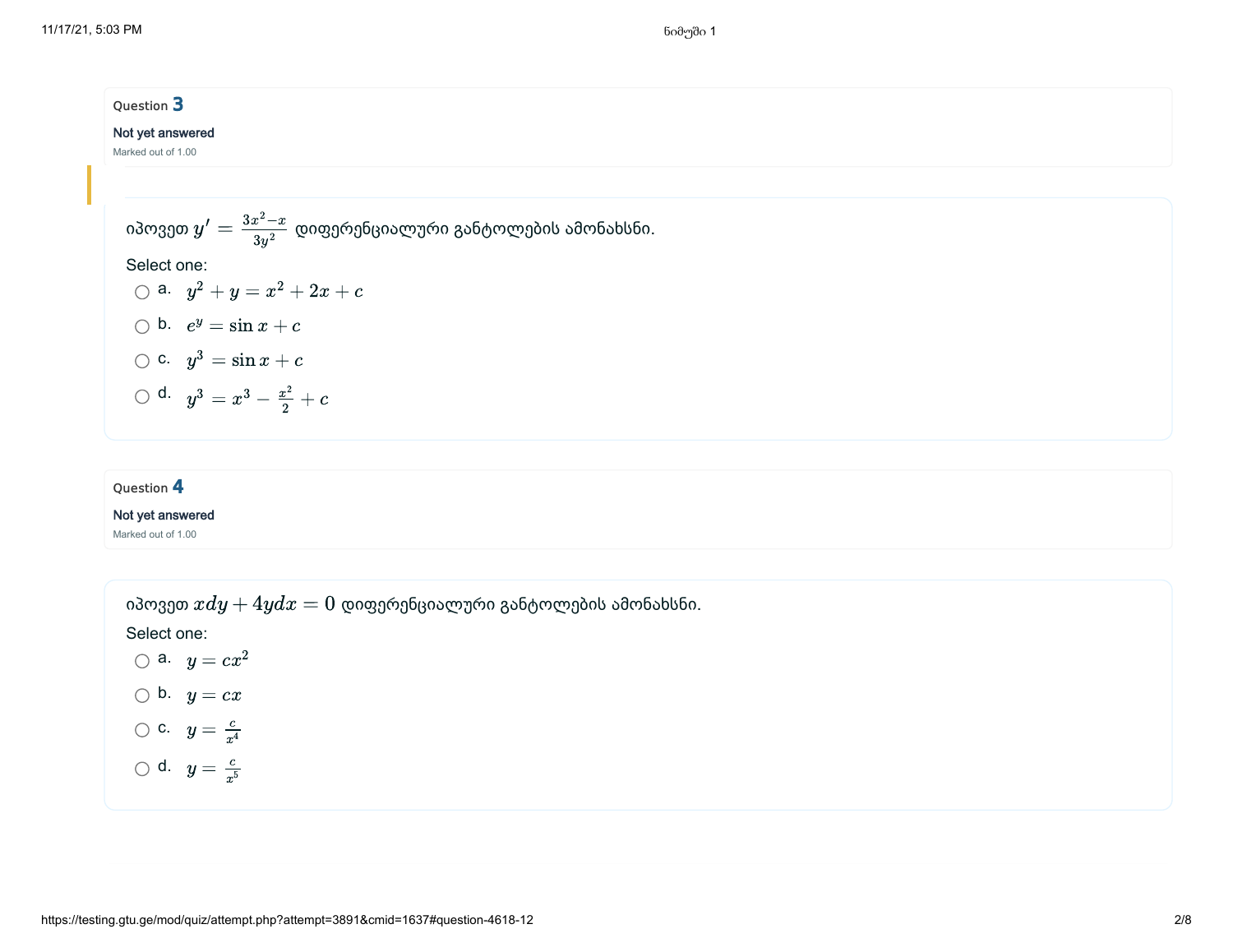## Question 3

### Not yet answered

Marked out of 1.00

იპოვეთ დიფერენციალური განტოლების ამონახსნი. Select one: a. b. c. d. y ′ = 3x −x 2 3y 2 y + y = + 2x + c <sup>2</sup> x 2 e = sin x + c y y = sin x + c 3 y = − + c <sup>3</sup> x 3 x 2 2

# Question 4

#### Not yet answered

Marked out of 1.00

იპოვეთ  $xdy+4ydx=0$  დიფერენციალური განტოლების ამონახსნი.

Select one:

$$
\bigcirc \mathsf{a.} \ y = cx^2
$$
  

$$
\bigcirc \mathsf{b.} \ y = cx
$$

$$
\bigcirc \mathbf{c}. \quad y = \tfrac{c}{x^4}
$$

$$
\bigcirc
$$
 d.  $y = \frac{c}{x^5}$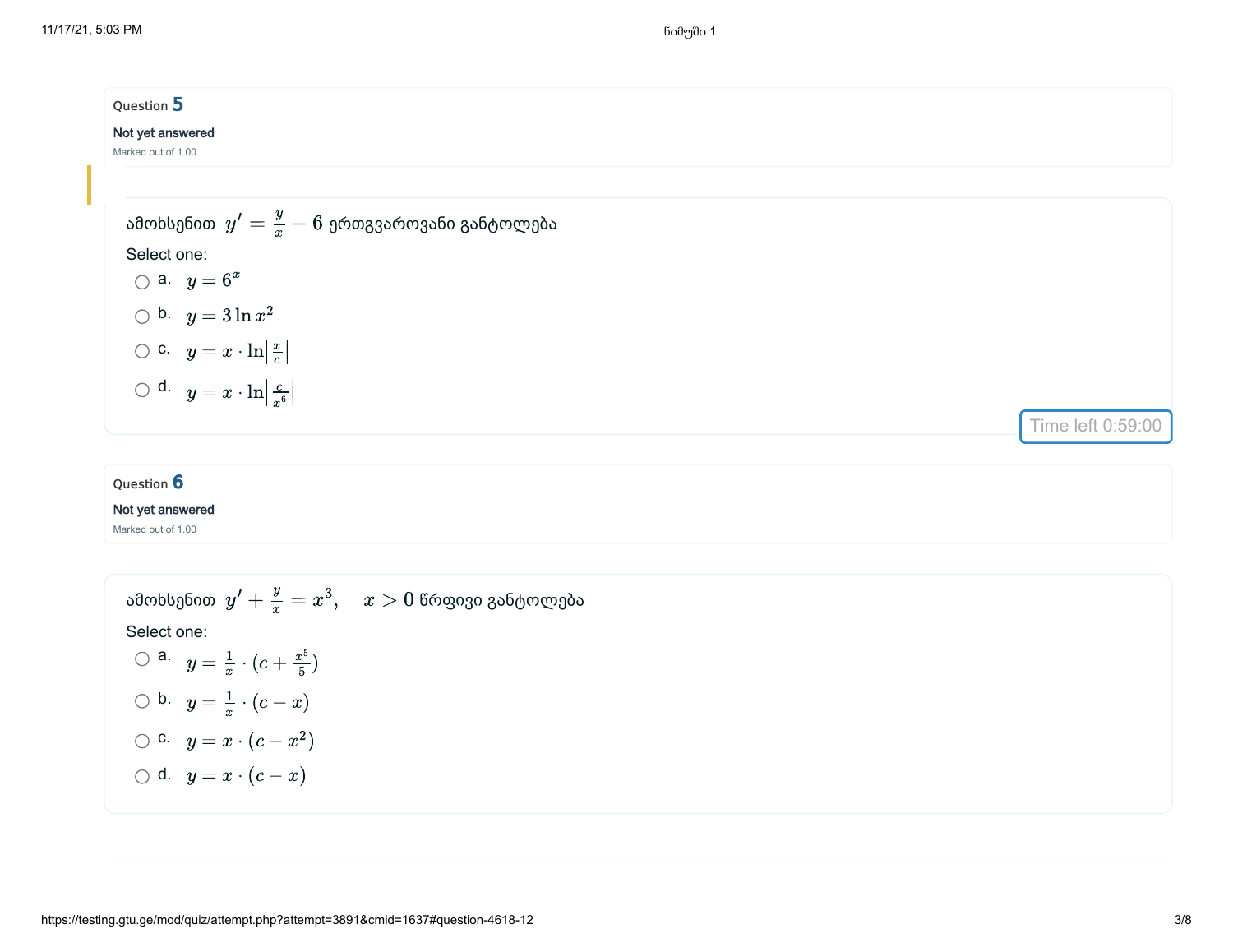# Question 5 Not yet answered Marked out of 1.00 ამოხსენით  $\left| y' \right| = \frac{y}{x} - 6$  ერთგვაროვანი განტოლება Select one: a.  $y=6^x$ b.  $y = 3 \ln x^2$ c.  $y = x \cdot \ln \left| \frac{x}{c} \right|$ d.  $y = x \cdot \ln \left| \frac{c}{x^6} \right|$ x c ∣ ∣  $\frac{c}{x^6}$ Time left 0:59:00

### Question 6

#### Not yet answered

Marked out of 1.00

ამოხსენით  $y' + \frac{y}{x} = x^3, \quad x > 0$  წრფივი განტოლება Select one: a.  $y = \frac{1}{x} \cdot (c + \frac{x^5}{5})$ b.  $y = \frac{1}{x} \cdot (c - x)$ c.  $y = x \cdot (c - x^2)$ d.  $y = x \cdot (c - x)$ x  $x^5$ 5 x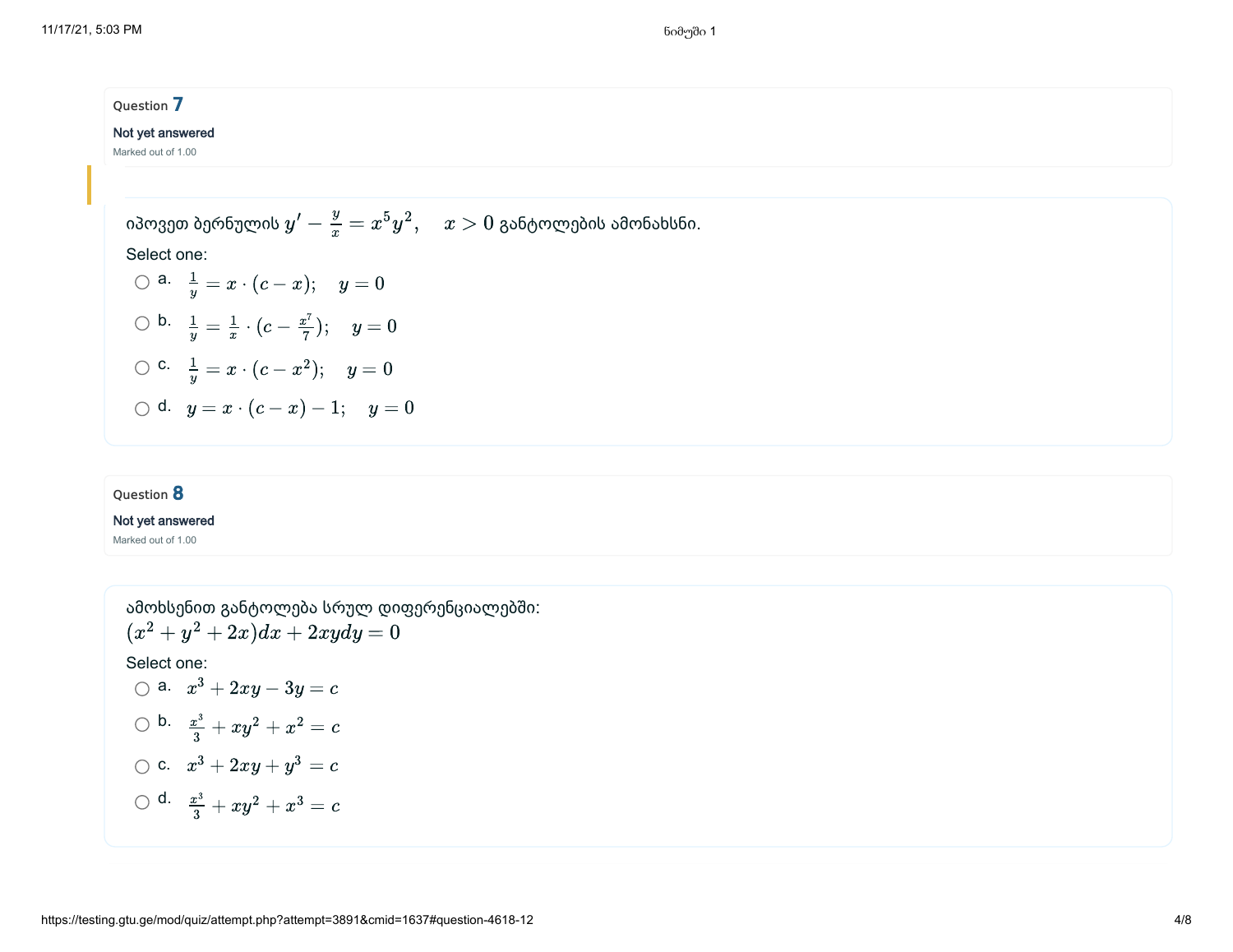| Question 7                                                                       |  |  |
|----------------------------------------------------------------------------------|--|--|
| Not yet answered                                                                 |  |  |
| Marked out of 1.00                                                               |  |  |
|                                                                                  |  |  |
| იპოვეთ ბერნულის $y'-\frac{y}{x}=x^5y^2,\quad x>0$ განტოლების ამონახსნი.          |  |  |
| Select one:                                                                      |  |  |
| $\bigcirc$ a. $\frac{1}{y} = x \cdot (c - x);$ $y = 0$                           |  |  |
| $\bigcirc$ b. $\frac{1}{y} = \frac{1}{x} \cdot (c - \frac{x^7}{7}); \quad y = 0$ |  |  |
| $\bigcirc$ c. $\frac{1}{y} = x \cdot (c - x^2); \quad y = 0$                     |  |  |
| $\bigcirc$ d. $y = x \cdot (c - x) - 1; y = 0$                                   |  |  |
|                                                                                  |  |  |

### Question 8

#### Not yet answered

Marked out of 1.00

ამოხსენით განტოლება სრულ დიფერენციალებში: Select one: a.  $x^3+2xy-3y=c$ b.  $\frac{x^3}{3} + xy^2 + x^2 = c$ c.  $x^3 + 2xy + y^3 = c$ d.  $\frac{x^3}{3} + xy^2 + x^3 = c$  $(x^2+y^2+2x)dx+2xydy=0$  $\frac{x^3}{3}+xy^2+x^2$  $\frac{x^3}{3}+xy^2+x^3$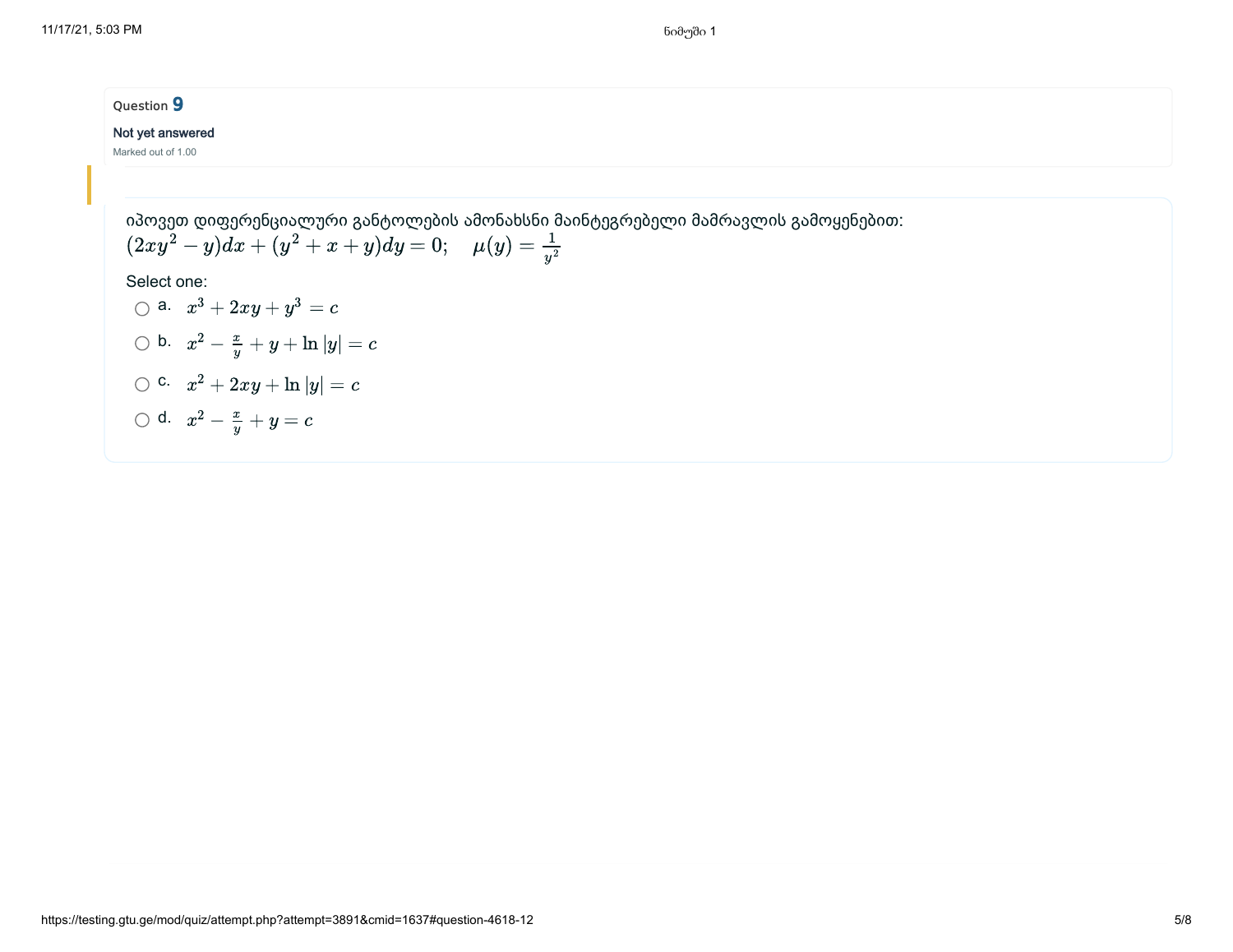# Question 9

#### Not yet answered

Marked out of 1.00

იპოვეთ დიფერენციალური განტოლების ამონახსნი მაინტეგრებელი მამრავლის გამოყენებით: Select one: a.  $x^3+2xy+y^3=c$ b.  $x^2 - \frac{x}{y} + y + \ln|y| = c$ c.  $x^2 + 2xy + \ln |y| = c$ d.  $x^2 - \frac{x}{y} + y = c$  $(2xy^2-y)dx + (y^2+x+y)dy = 0; \quad \mu(y) = \frac{1}{y^2}$  $y^2$  $\boldsymbol{y}$  $\boldsymbol{y}$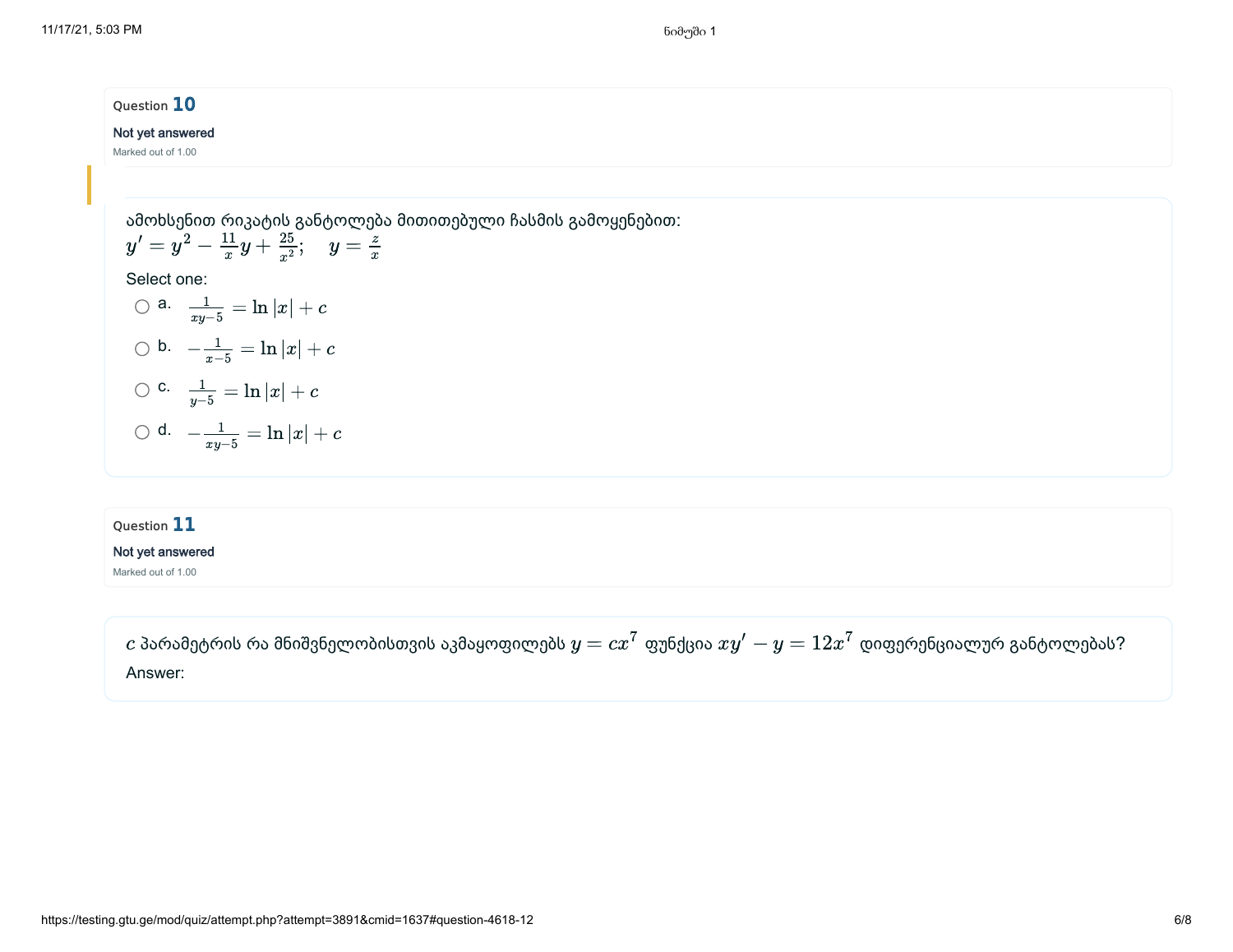11/17/21, 5:03 PM ნიმუში 1 მონაწლება სახლა სახლა სახლა სახლა სახლა სახლა სახლა სახლა სახლა სახლა სახლა სახლა ს

# Question 10

### Not yet answered

Marked out of 1.00

ამოხსენით რიკატის განტოლება მითითებული ჩასმის გამოყენებით:  $y' = y^2 - \frac{11}{x}y + \frac{25}{x^2}; \quad y = 1$ 25  $\frac{25}{x^2}$ ;  $y = \frac{z}{x}$ 

x

Select one:

○ a. 
$$
\frac{1}{xy-5} = \ln |x| + c
$$
  
○ b.  $-\frac{1}{x-5} = \ln |x| + c$ 

x

$$
\bigcirc \text{ c. } \frac{1}{y-5}=\ln |x|+c
$$

$$
\bigcirc\,\mathsf{d.}\quad -\tfrac{1}{xy-5}=\ln|x|+c
$$

### Question 11

#### Not yet answered

Marked out of 1.00

 $c$  პარამეტრის რა მნიშვნელობისთვის აკმაყოფილებს  $y=cx^7$  ფუნქცია  $xy^\prime-y=12x^7$  დიფერენციალურ განტოლებას? Answer: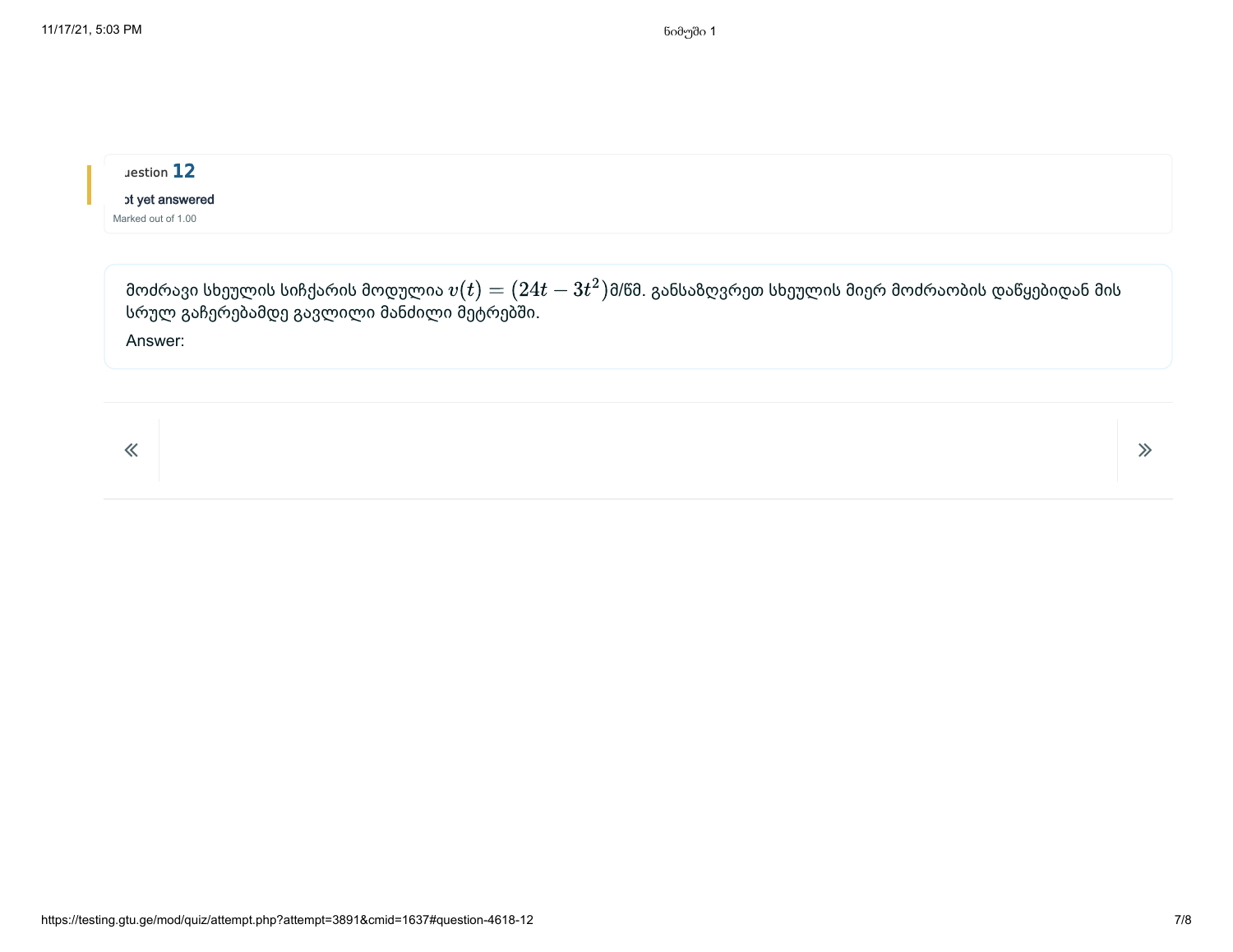# uestion 12 ot yet answered

Marked out of 1.00

მოძრავი სხეულის სიჩქარის მოდულია  $v(t)=(24t-3t^2)$ მ/წმ. განსაზღვრეთ სხეულის მიერ მოძრაობის დაწყებიდან მის სრულ გაჩერებამდე გავლილი მანძილი მეტრებში. Answer:  $v(t) = (24t - 3t^2)$ i

 $\overline{\mathcal{R}}$